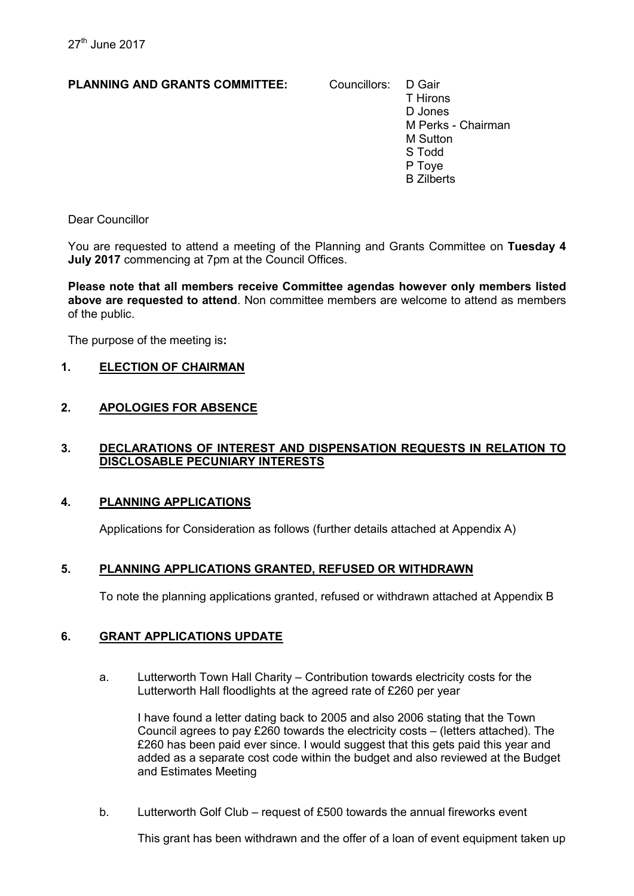## PLANNING AND GRANTS COMMITTEE: Councillors: D Gair

T Hirons D Jones M Perks - Chairman M Sutton S Todd P Toye B Zilberts

Dear Councillor

You are requested to attend a meeting of the Planning and Grants Committee on Tuesday 4 July 2017 commencing at 7pm at the Council Offices.

Please note that all members receive Committee agendas however only members listed above are requested to attend. Non committee members are welcome to attend as members of the public.

The purpose of the meeting is:

## 1. ELECTION OF CHAIRMAN

## 2. APOLOGIES FOR ABSENCE

#### 3. DECLARATIONS OF INTEREST AND DISPENSATION REQUESTS IN RELATION TO DISCLOSABLE PECUNIARY INTERESTS

#### 4. PLANNING APPLICATIONS

Applications for Consideration as follows (further details attached at Appendix A)

#### 5. PLANNING APPLICATIONS GRANTED, REFUSED OR WITHDRAWN

To note the planning applications granted, refused or withdrawn attached at Appendix B

#### 6. GRANT APPLICATIONS UPDATE

a. Lutterworth Town Hall Charity – Contribution towards electricity costs for the Lutterworth Hall floodlights at the agreed rate of £260 per year

I have found a letter dating back to 2005 and also 2006 stating that the Town Council agrees to pay £260 towards the electricity costs – (letters attached). The £260 has been paid ever since. I would suggest that this gets paid this year and added as a separate cost code within the budget and also reviewed at the Budget and Estimates Meeting

b. Lutterworth Golf Club – request of £500 towards the annual fireworks event

This grant has been withdrawn and the offer of a loan of event equipment taken up